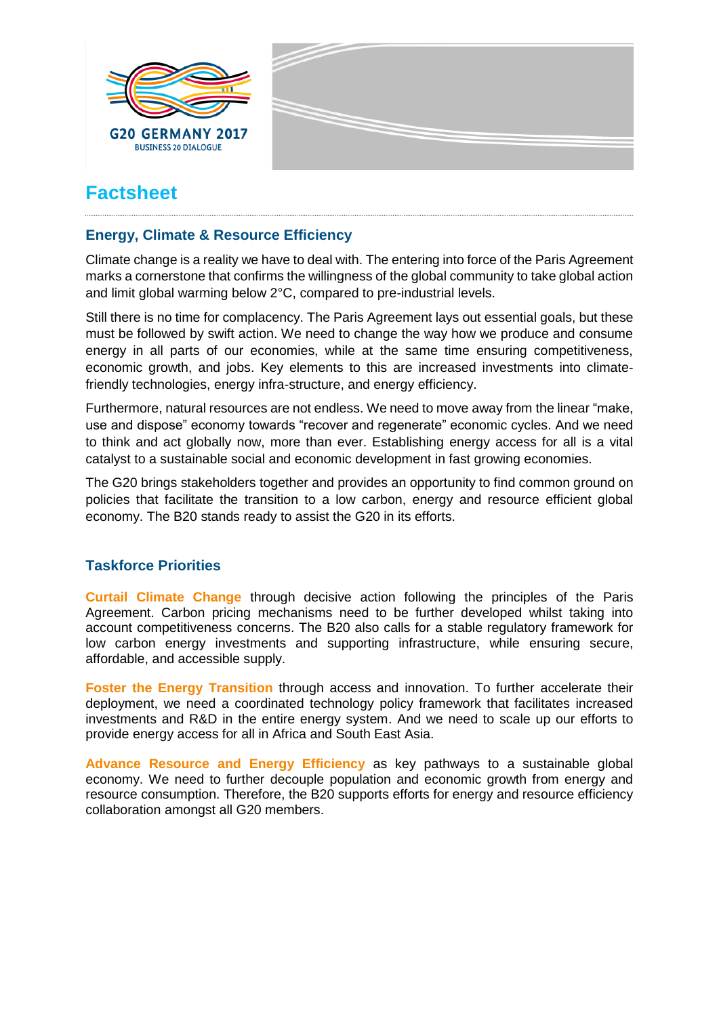

# **Factsheet**

#### **Energy, Climate & Resource Efficiency**

Climate change is a reality we have to deal with. The entering into force of the Paris Agreement marks a cornerstone that confirms the willingness of the global community to take global action and limit global warming below 2°C, compared to pre-industrial levels.

Still there is no time for complacency. The Paris Agreement lays out essential goals, but these must be followed by swift action. We need to change the way how we produce and consume energy in all parts of our economies, while at the same time ensuring competitiveness, economic growth, and jobs. Key elements to this are increased investments into climatefriendly technologies, energy infra-structure, and energy efficiency.

Furthermore, natural resources are not endless. We need to move away from the linear "make, use and dispose" economy towards "recover and regenerate" economic cycles. And we need to think and act globally now, more than ever. Establishing energy access for all is a vital catalyst to a sustainable social and economic development in fast growing economies.

The G20 brings stakeholders together and provides an opportunity to find common ground on policies that facilitate the transition to a low carbon, energy and resource efficient global economy. The B20 stands ready to assist the G20 in its efforts.

### **Taskforce Priorities**

**Curtail Climate Change** through decisive action following the principles of the Paris Agreement. Carbon pricing mechanisms need to be further developed whilst taking into account competitiveness concerns. The B20 also calls for a stable regulatory framework for low carbon energy investments and supporting infrastructure, while ensuring secure, affordable, and accessible supply.

**Foster the Energy Transition** through access and innovation. To further accelerate their deployment, we need a coordinated technology policy framework that facilitates increased investments and R&D in the entire energy system. And we need to scale up our efforts to provide energy access for all in Africa and South East Asia.

**Advance Resource and Energy Efficiency** as key pathways to a sustainable global economy. We need to further decouple population and economic growth from energy and resource consumption. Therefore, the B20 supports efforts for energy and resource efficiency collaboration amongst all G20 members.